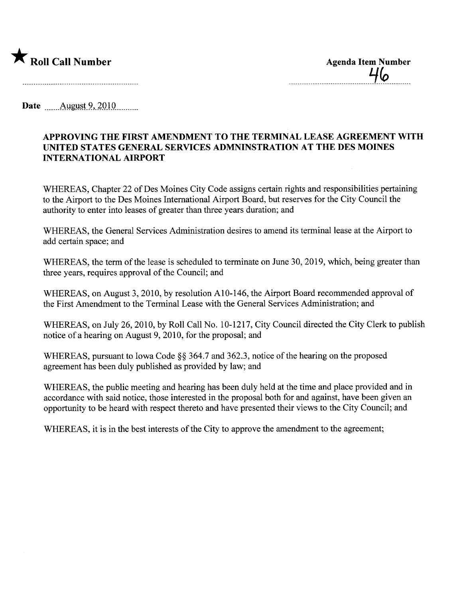

\_\_\_\_\_\_\_\_\_\_\_\_\_\_\_\_\_\_\_\_\_\_\_\_\_\_\_\_\_\_\_\_\_\_\_\_\_'1\_Cp\_\_\_\_\_\_\_\_\_\_

Date \_\_\_\_\_\_ August 9, 2010

## APPROVING THE FIRST AMENDMENT TO THE TERMINAL LEASE AGREEMENT WITH UNITED STATES GENERAL SERVICES ADMNINSTRATION AT THE DES MOINES INTERNATIONAL AIRPORT

WHEREAS, Chapter 22 of Des Moines City Code assigns certain rights and responsibilities pertaining to the Airport to the Des Moines International Airport Board, but reserves for the City Council the authority to enter into leases of greater than three years duration; and

WHEREAS, the General Services Administration desires to amend its terminal lease at the Airport to add certain space; and

WHEREAS, the term of the lease is scheduled to terminate on June 30, 2019, which, being greater than three years, requires approval of the Council; and

WHEREAS, on August 3, 2010, by resolution A10-146, the Airport Board recommended approval of the First Amendment to the Terminal Lease with the General Services Administration; and

WHEREAS, on July 26,2010, by Roll Call No. 10-1217, City Council directed the City Clerk to publish notice of a hearing on August 9, 2010, for the proposal; and

WHEREAS, pursuant to Iowa Code §§ 364.7 and 362.3, notice of the hearing on the proposed agreement has been duly published as provided by law; and

WHEREAS, the public meeting and hearing has been duly held at the time and place provided and in accordance with said notice, those interested in the proposal both for and against, have been given an opportunity to be heard with respect thereto and have presented their views to the City Council; and

WHEREAS, it is in the best interests of the City to approve the amendment to the agreement;